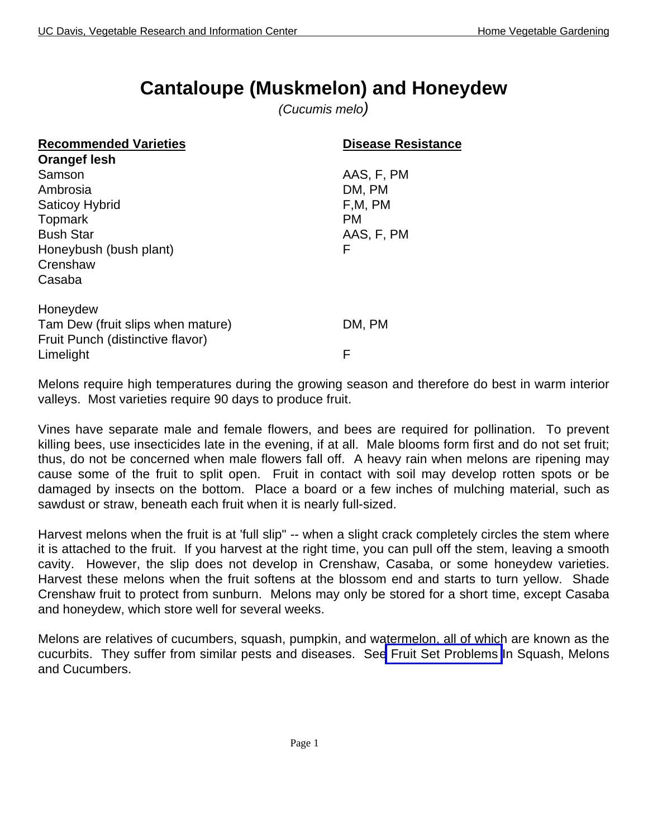# **Cantaloupe (Muskmelon) and Honeydew**

*(Cucumis melo)*

| <b>Recommended Varieties</b>      | <b>Disease Resistance</b> |
|-----------------------------------|---------------------------|
| <b>Orangef lesh</b>               |                           |
| Samson                            | AAS, F, PM                |
| Ambrosia                          | DM, PM                    |
| <b>Saticoy Hybrid</b>             | F,M, PM                   |
| Topmark                           | <b>PM</b>                 |
| <b>Bush Star</b>                  | AAS, F, PM                |
| Honeybush (bush plant)            | F                         |
| Crenshaw                          |                           |
| Casaba                            |                           |
|                                   |                           |
| Honeydew                          |                           |
| Tam Dew (fruit slips when mature) | DM, PM                    |
| Fruit Punch (distinctive flavor)  |                           |
| Limelight                         | F                         |

Melons require high temperatures during the growing season and therefore do best in warm interior valleys. Most varieties require 90 days to produce fruit.

Vines have separate male and female flowers, and bees are required for pollination. To prevent killing bees, use insecticides late in the evening, if at all. Male blooms form first and do not set fruit; thus, do not be concerned when male flowers fall off. A heavy rain when melons are ripening may cause some of the fruit to split open. Fruit in contact with soil may develop rotten spots or be damaged by insects on the bottom. Place a board or a few inches of mulching material, such as sawdust or straw, beneath each fruit when it is nearly full-sized.

Harvest melons when the fruit is at 'full slip" -- when a slight crack completely circles the stem where it is attached to the fruit. If you harvest at the right time, you can pull off the stem, leaving a smooth cavity. However, the slip does not develop in Crenshaw, Casaba, or some honeydew varieties. Harvest these melons when the fruit softens at the blossom end and starts to turn yellow. Shade Crenshaw fruit to protect from sunburn. Melons may only be stored for a short time, except Casaba and honeydew, which store well for several weeks.

Melons are relatives of cucumbers, squash, pumpkin, and watermelon, all of which are known as the cucurbits. They suffer from similar pests and diseases. Se[e Fruit Set Problems](http://vric.ucdavis.edu/veginfo/commodity/garden/crops/squashsm.pdf) In Squash, Melons and Cucumbers.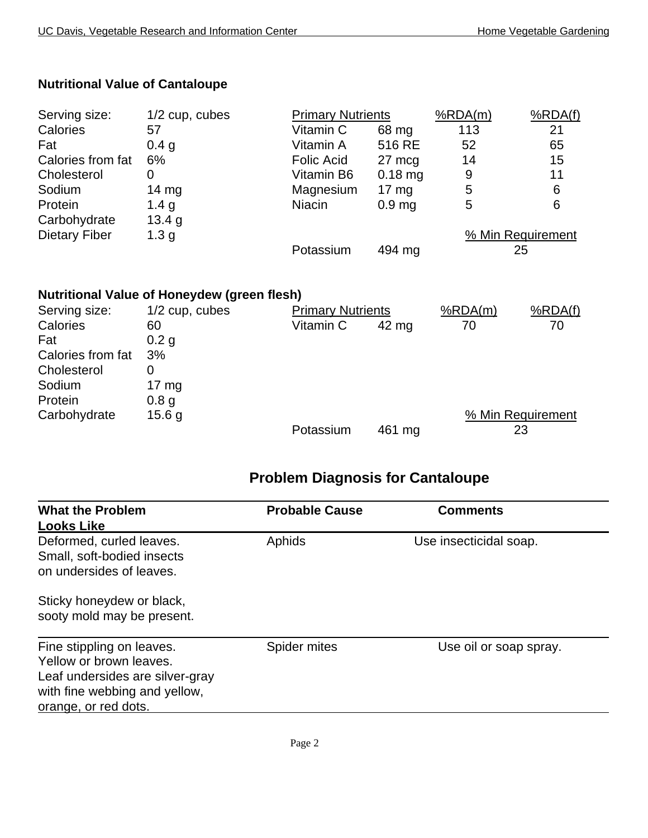| <b>Nutritional Value of Cantaloupe</b> |  |
|----------------------------------------|--|
|----------------------------------------|--|

| Serving size:        | $1/2$ cup, cubes | <b>Primary Nutrients</b> |                   | %RDA(m)           | %RDA(f) |
|----------------------|------------------|--------------------------|-------------------|-------------------|---------|
| Calories             | 57               | Vitamin C                | 68 mg             | 113               | 21      |
| Fat                  | 0.4 <sub>g</sub> | Vitamin A                | 516 RE            | 52                | 65      |
| Calories from fat    | 6%               | <b>Folic Acid</b>        | 27 mcg            | 14                | 15      |
| Cholesterol          | 0                | Vitamin B6               | $0.18$ mg         | 9                 | 11      |
| Sodium               | 14 $mg$          | Magnesium                | $17 \text{ mg}$   | 5                 | 6       |
| Protein              | 1.4 g            | <b>Niacin</b>            | 0.9 <sub>mg</sub> | 5                 | 6       |
| Carbohydrate         | 13.4 g           |                          |                   |                   |         |
| <b>Dietary Fiber</b> | 1.3 <sub>g</sub> |                          |                   | % Min Requirement |         |
|                      |                  | Potassium                | 494 mg            |                   | 25      |

#### **Nutritional Value of Honeydew (green flesh)**

| Serving size:     | $1/2$ cup, cubes | <b>Primary Nutrients</b> |        | %RDA(m) | %RDA(f)           |
|-------------------|------------------|--------------------------|--------|---------|-------------------|
| Calories          | 60               | Vitamin C                | 42 mg  | 70      | 70                |
| Fat               | 0.2 <sub>q</sub> |                          |        |         |                   |
| Calories from fat | 3%               |                          |        |         |                   |
| Cholesterol       |                  |                          |        |         |                   |
| Sodium            | 17 $mg$          |                          |        |         |                   |
| Protein           | 0.8 <sub>g</sub> |                          |        |         |                   |
| Carbohydrate      | 15.6 g           |                          |        |         | % Min Requirement |
|                   |                  | Potassium                | 461 mg |         | 23                |

#### **Problem Diagnosis for Cantaloupe**

| <b>What the Problem</b><br><b>Looks Like</b>                                                                                                     | <b>Probable Cause</b> | <b>Comments</b>        |
|--------------------------------------------------------------------------------------------------------------------------------------------------|-----------------------|------------------------|
| Deformed, curled leaves.<br>Small, soft-bodied insects<br>on undersides of leaves.                                                               | Aphids                | Use insecticidal soap. |
| Sticky honeydew or black,<br>sooty mold may be present.                                                                                          |                       |                        |
| Fine stippling on leaves.<br>Yellow or brown leaves.<br>Leaf undersides are silver-gray<br>with fine webbing and yellow,<br>orange, or red dots. | Spider mites          | Use oil or soap spray. |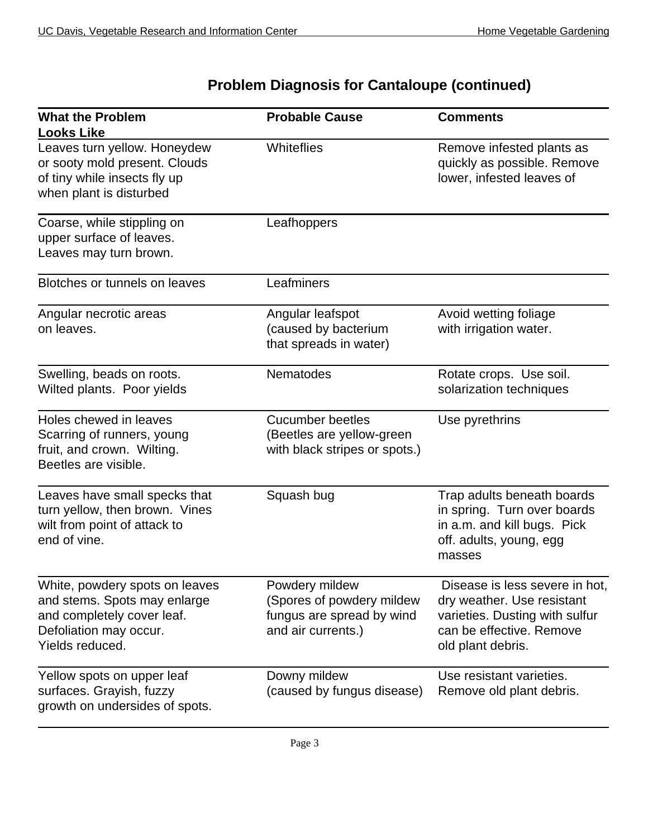## **Problem Diagnosis for Cantaloupe (continued)**

| <b>What the Problem</b><br><b>Looks Like</b>                                                                                              | <b>Probable Cause</b>                                                                          | <b>Comments</b>                                                                                                                                 |
|-------------------------------------------------------------------------------------------------------------------------------------------|------------------------------------------------------------------------------------------------|-------------------------------------------------------------------------------------------------------------------------------------------------|
| Leaves turn yellow. Honeydew<br>or sooty mold present. Clouds<br>of tiny while insects fly up<br>when plant is disturbed                  | Whiteflies                                                                                     | Remove infested plants as<br>quickly as possible. Remove<br>lower, infested leaves of                                                           |
| Coarse, while stippling on<br>upper surface of leaves.<br>Leaves may turn brown.                                                          | Leafhoppers                                                                                    |                                                                                                                                                 |
| Blotches or tunnels on leaves                                                                                                             | Leafminers                                                                                     |                                                                                                                                                 |
| Angular necrotic areas<br>on leaves.                                                                                                      | Angular leafspot<br>(caused by bacterium<br>that spreads in water)                             | Avoid wetting foliage<br>with irrigation water.                                                                                                 |
| Swelling, beads on roots.<br>Wilted plants. Poor yields                                                                                   | Nematodes                                                                                      | Rotate crops. Use soil.<br>solarization techniques                                                                                              |
| Holes chewed in leaves<br>Scarring of runners, young<br>fruit, and crown. Wilting.<br>Beetles are visible.                                | <b>Cucumber beetles</b><br>(Beetles are yellow-green<br>with black stripes or spots.)          | Use pyrethrins                                                                                                                                  |
| Leaves have small specks that<br>turn yellow, then brown. Vines<br>wilt from point of attack to<br>end of vine.                           | Squash bug                                                                                     | Trap adults beneath boards<br>in spring. Turn over boards<br>in a.m. and kill bugs. Pick<br>off. adults, young, egg<br>masses                   |
| White, powdery spots on leaves<br>and stems. Spots may enlarge<br>and completely cover leaf.<br>Defoliation may occur.<br>Yields reduced. | Powdery mildew<br>(Spores of powdery mildew<br>fungus are spread by wind<br>and air currents.) | Disease is less severe in hot,<br>dry weather. Use resistant<br>varieties. Dusting with sulfur<br>can be effective. Remove<br>old plant debris. |
| Yellow spots on upper leaf<br>surfaces. Grayish, fuzzy<br>growth on undersides of spots.                                                  | Downy mildew<br>(caused by fungus disease)                                                     | Use resistant varieties.<br>Remove old plant debris.                                                                                            |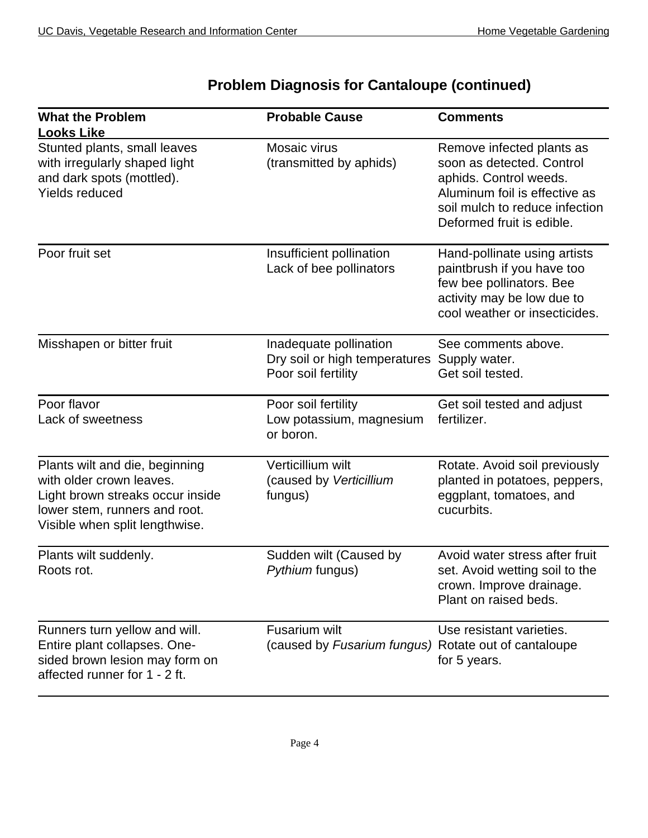| <b>What the Problem</b><br><b>Looks Like</b>                                                                                                                      | <b>Probable Cause</b>                                                          | <b>Comments</b>                                                                                                                                                                  |
|-------------------------------------------------------------------------------------------------------------------------------------------------------------------|--------------------------------------------------------------------------------|----------------------------------------------------------------------------------------------------------------------------------------------------------------------------------|
| Stunted plants, small leaves<br>with irregularly shaped light<br>and dark spots (mottled).<br><b>Yields reduced</b>                                               | Mosaic virus<br>(transmitted by aphids)                                        | Remove infected plants as<br>soon as detected. Control<br>aphids. Control weeds.<br>Aluminum foil is effective as<br>soil mulch to reduce infection<br>Deformed fruit is edible. |
| Poor fruit set                                                                                                                                                    | Insufficient pollination<br>Lack of bee pollinators                            | Hand-pollinate using artists<br>paintbrush if you have too<br>few bee pollinators. Bee<br>activity may be low due to<br>cool weather or insecticides.                            |
| Misshapen or bitter fruit                                                                                                                                         | Inadequate pollination<br>Dry soil or high temperatures<br>Poor soil fertility | See comments above.<br>Supply water.<br>Get soil tested.                                                                                                                         |
| Poor flavor<br>Lack of sweetness                                                                                                                                  | Poor soil fertility<br>Low potassium, magnesium<br>or boron.                   | Get soil tested and adjust<br>fertilizer.                                                                                                                                        |
| Plants wilt and die, beginning<br>with older crown leaves.<br>Light brown streaks occur inside<br>lower stem, runners and root.<br>Visible when split lengthwise. | Verticillium wilt<br>(caused by Verticillium<br>fungus)                        | Rotate. Avoid soil previously<br>planted in potatoes, peppers,<br>eggplant, tomatoes, and<br>cucurbits.                                                                          |
| Plants wilt suddenly.<br>Roots rot.                                                                                                                               | Sudden wilt (Caused by<br>Pythium fungus)                                      | Avoid water stress after fruit<br>set. Avoid wetting soil to the<br>crown. Improve drainage.<br>Plant on raised beds.                                                            |
| Runners turn yellow and will.<br>Entire plant collapses. One-<br>sided brown lesion may form on<br>affected runner for 1 - 2 ft.                                  | Fusarium wilt<br>(caused by Fusarium fungus) Rotate out of cantaloupe          | Use resistant varieties.<br>for 5 years.                                                                                                                                         |

## **Problem Diagnosis for Cantaloupe (continued)**